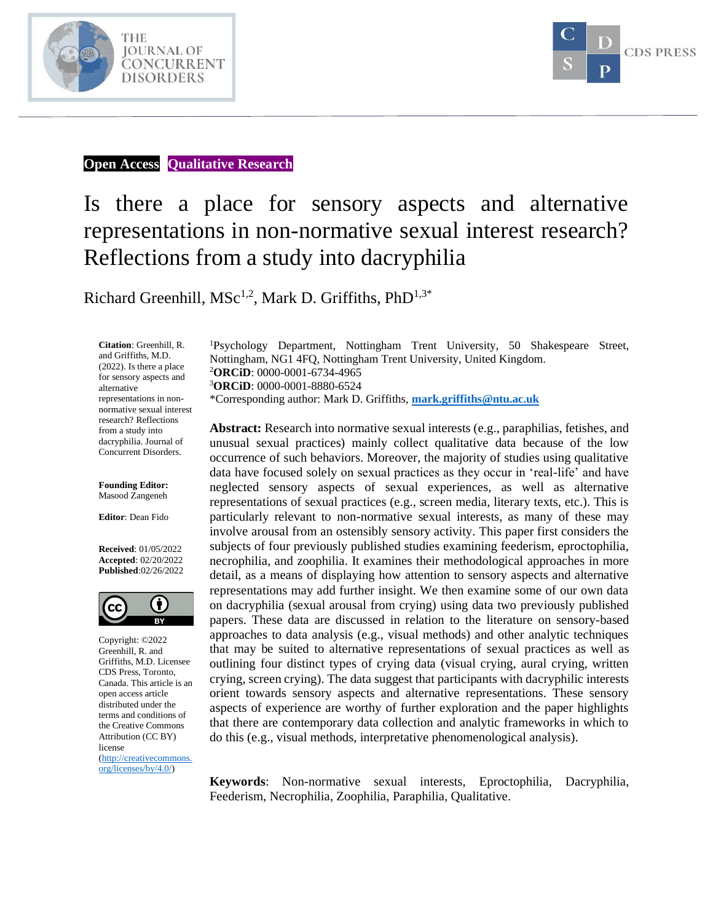



#### **Open Access Qualitative Research**

# Is there a place for sensory aspects and alternative representations in non-normative sexual interest research? Reflections from a study into dacryphilia

Richard Greenhill, MSc<sup>1,2</sup>, Mark D. Griffiths, PhD<sup>1,3\*</sup>

**Citation**: Greenhill, R. and Griffiths, M.D. (2022). Is there a place for sensory aspects and alternative representations in nonnormative sexual interest research? Reflections from a study into dacryphilia. Journal of Concurrent Disorders.

**Founding Editor:**  Masood Zangeneh

**Editor**: Dean Fido

**Received**: 01/05/2022 **Accepted**: 02/20/2022 **Published**:02/26/2022



Copyright: ©2022 Greenhill, R. and Griffiths, M.D. Licensee CDS Press, Toronto, Canada. This article is an open access article distributed under the terms and conditions of the Creative Commons Attribution (CC BY) license [\(http://creativecommons.](http://creativecommons.org/licenses/by/4.0/) [org/licenses/by/4.0/\)](http://creativecommons.org/licenses/by/4.0/)

<sup>1</sup>Psychology Department, Nottingham Trent University, 50 Shakespeare Street, Nottingham, NG1 4FQ, Nottingham Trent University, United Kingdom. <sup>2</sup>**ORCiD**: 0000-0001-6734-4965 <sup>3</sup>**ORCiD**: 0000-0001-8880-6524 \*Corresponding author: Mark D. Griffiths, **[mark.griffiths@ntu.ac.uk](mailto:mark.griffiths@ntu.ac.uk)**

**Abstract:** Research into normative sexual interests (e.g., paraphilias, fetishes, and unusual sexual practices) mainly collect qualitative data because of the low occurrence of such behaviors. Moreover, the majority of studies using qualitative data have focused solely on sexual practices as they occur in 'real-life' and have neglected sensory aspects of sexual experiences, as well as alternative representations of sexual practices (e.g., screen media, literary texts, etc.). This is particularly relevant to non-normative sexual interests, as many of these may involve arousal from an ostensibly sensory activity. This paper first considers the subjects of four previously published studies examining feederism, eproctophilia, necrophilia, and zoophilia. It examines their methodological approaches in more detail, as a means of displaying how attention to sensory aspects and alternative representations may add further insight. We then examine some of our own data on dacryphilia (sexual arousal from crying) using data two previously published papers. These data are discussed in relation to the literature on sensory-based approaches to data analysis (e.g., visual methods) and other analytic techniques that may be suited to alternative representations of sexual practices as well as outlining four distinct types of crying data (visual crying, aural crying, written crying, screen crying). The data suggest that participants with dacryphilic interests orient towards sensory aspects and alternative representations. These sensory aspects of experience are worthy of further exploration and the paper highlights that there are contemporary data collection and analytic frameworks in which to do this (e.g., visual methods, interpretative phenomenological analysis).

**Keywords**: Non-normative sexual interests, Eproctophilia, Dacryphilia, Feederism, Necrophilia, Zoophilia, Paraphilia, Qualitative.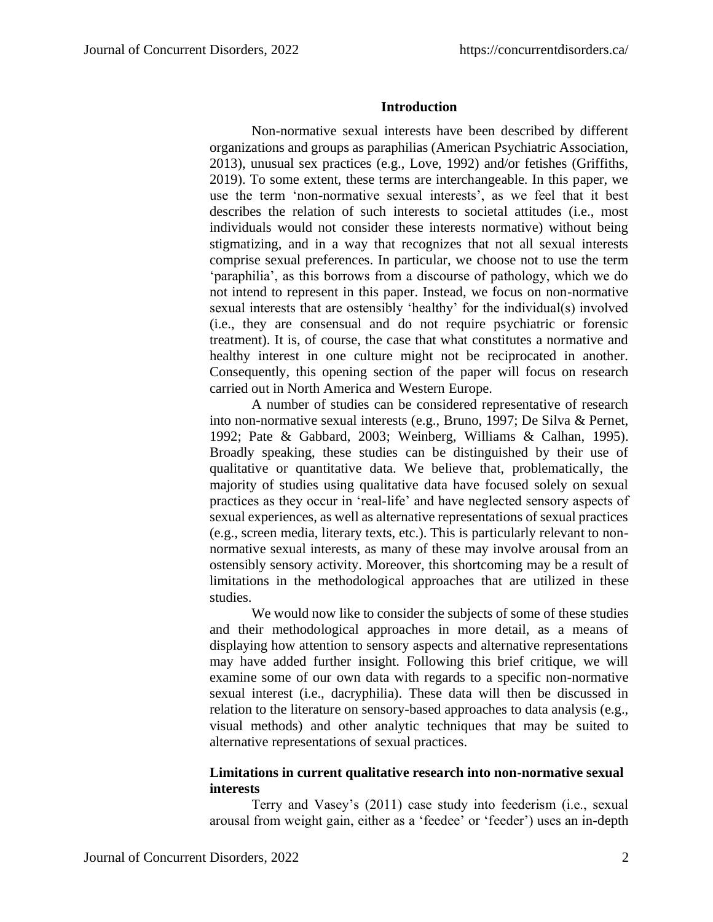### **Introduction**

Non-normative sexual interests have been described by different organizations and groups as paraphilias (American Psychiatric Association, 2013), unusual sex practices (e.g., Love, 1992) and/or fetishes (Griffiths, 2019). To some extent, these terms are interchangeable. In this paper, we use the term 'non-normative sexual interests', as we feel that it best describes the relation of such interests to societal attitudes (i.e., most individuals would not consider these interests normative) without being stigmatizing, and in a way that recognizes that not all sexual interests comprise sexual preferences. In particular, we choose not to use the term 'paraphilia', as this borrows from a discourse of pathology, which we do not intend to represent in this paper. Instead, we focus on non-normative sexual interests that are ostensibly 'healthy' for the individual(s) involved (i.e., they are consensual and do not require psychiatric or forensic treatment). It is, of course, the case that what constitutes a normative and healthy interest in one culture might not be reciprocated in another. Consequently, this opening section of the paper will focus on research carried out in North America and Western Europe.

A number of studies can be considered representative of research into non-normative sexual interests (e.g., Bruno, 1997; De Silva & Pernet, 1992; Pate & Gabbard, 2003; Weinberg, Williams & Calhan, 1995). Broadly speaking, these studies can be distinguished by their use of qualitative or quantitative data. We believe that, problematically, the majority of studies using qualitative data have focused solely on sexual practices as they occur in 'real-life' and have neglected sensory aspects of sexual experiences, as well as alternative representations of sexual practices (e.g., screen media, literary texts, etc.). This is particularly relevant to nonnormative sexual interests, as many of these may involve arousal from an ostensibly sensory activity. Moreover, this shortcoming may be a result of limitations in the methodological approaches that are utilized in these studies.

We would now like to consider the subjects of some of these studies and their methodological approaches in more detail, as a means of displaying how attention to sensory aspects and alternative representations may have added further insight. Following this brief critique, we will examine some of our own data with regards to a specific non-normative sexual interest (i.e., dacryphilia). These data will then be discussed in relation to the literature on sensory-based approaches to data analysis (e.g., visual methods) and other analytic techniques that may be suited to alternative representations of sexual practices.

# **Limitations in current qualitative research into non-normative sexual interests**

Terry and Vasey's (2011) case study into feederism (i.e., sexual arousal from weight gain, either as a 'feedee' or 'feeder') uses an in-depth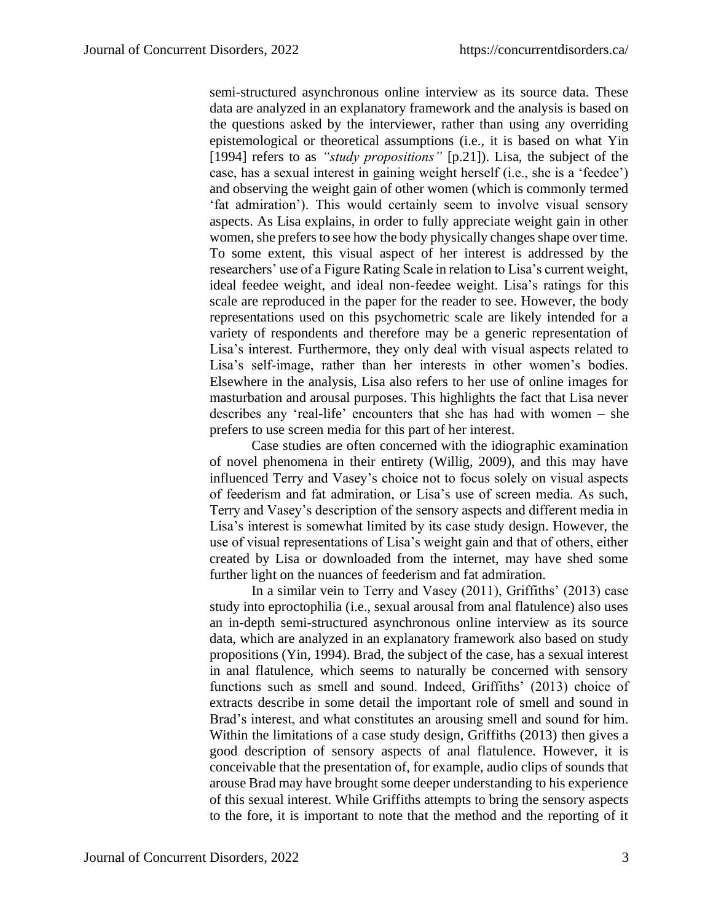semi-structured asynchronous online interview as its source data. These data are analyzed in an explanatory framework and the analysis is based on the questions asked by the interviewer, rather than using any overriding epistemological or theoretical assumptions (i.e., it is based on what Yin [1994] refers to as *"study propositions"* [p.21]). Lisa, the subject of the case, has a sexual interest in gaining weight herself (i.e., she is a 'feedee') and observing the weight gain of other women (which is commonly termed 'fat admiration'). This would certainly seem to involve visual sensory aspects. As Lisa explains, in order to fully appreciate weight gain in other women, she prefers to see how the body physically changes shape over time. To some extent, this visual aspect of her interest is addressed by the researchers' use of a Figure Rating Scale in relation to Lisa's current weight, ideal feedee weight, and ideal non-feedee weight. Lisa's ratings for this scale are reproduced in the paper for the reader to see. However, the body representations used on this psychometric scale are likely intended for a variety of respondents and therefore may be a generic representation of Lisa's interest. Furthermore, they only deal with visual aspects related to Lisa's self-image, rather than her interests in other women's bodies. Elsewhere in the analysis, Lisa also refers to her use of online images for masturbation and arousal purposes. This highlights the fact that Lisa never describes any 'real-life' encounters that she has had with women – she prefers to use screen media for this part of her interest.

Case studies are often concerned with the idiographic examination of novel phenomena in their entirety (Willig, 2009), and this may have influenced Terry and Vasey's choice not to focus solely on visual aspects of feederism and fat admiration, or Lisa's use of screen media. As such, Terry and Vasey's description of the sensory aspects and different media in Lisa's interest is somewhat limited by its case study design. However, the use of visual representations of Lisa's weight gain and that of others, either created by Lisa or downloaded from the internet, may have shed some further light on the nuances of feederism and fat admiration.

In a similar vein to Terry and Vasey (2011), Griffiths' (2013) case study into eproctophilia (i.e., sexual arousal from anal flatulence) also uses an in-depth semi-structured asynchronous online interview as its source data, which are analyzed in an explanatory framework also based on study propositions (Yin, 1994). Brad, the subject of the case, has a sexual interest in anal flatulence, which seems to naturally be concerned with sensory functions such as smell and sound. Indeed, Griffiths' (2013) choice of extracts describe in some detail the important role of smell and sound in Brad's interest, and what constitutes an arousing smell and sound for him. Within the limitations of a case study design, Griffiths (2013) then gives a good description of sensory aspects of anal flatulence. However, it is conceivable that the presentation of, for example, audio clips of sounds that arouse Brad may have brought some deeper understanding to his experience of this sexual interest. While Griffiths attempts to bring the sensory aspects to the fore, it is important to note that the method and the reporting of it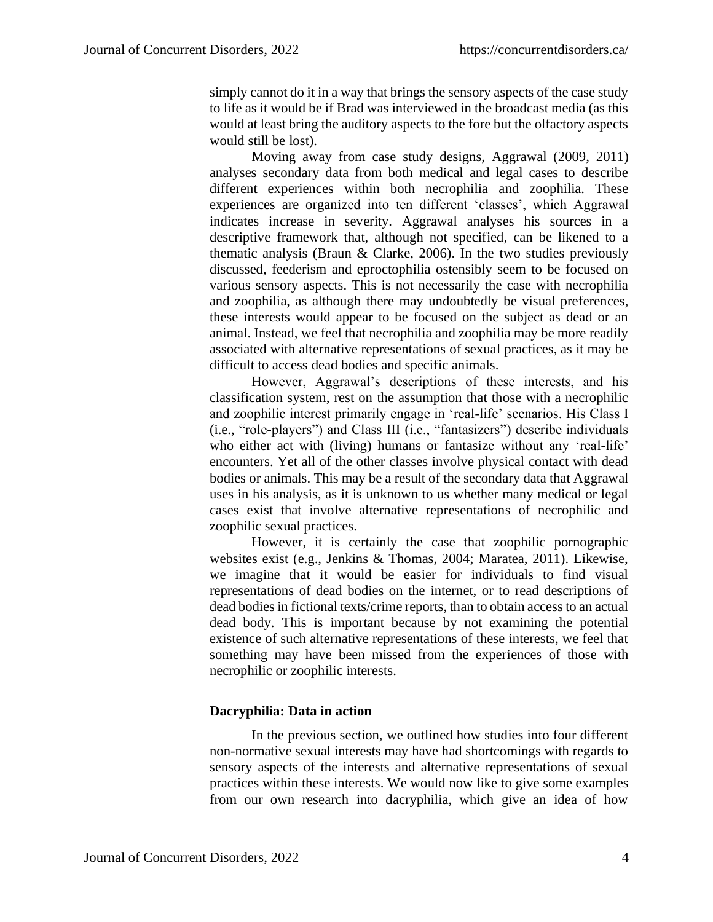simply cannot do it in a way that brings the sensory aspects of the case study to life as it would be if Brad was interviewed in the broadcast media (as this would at least bring the auditory aspects to the fore but the olfactory aspects would still be lost).

Moving away from case study designs, Aggrawal (2009, 2011) analyses secondary data from both medical and legal cases to describe different experiences within both necrophilia and zoophilia. These experiences are organized into ten different 'classes', which Aggrawal indicates increase in severity. Aggrawal analyses his sources in a descriptive framework that, although not specified, can be likened to a thematic analysis (Braun & Clarke, 2006). In the two studies previously discussed, feederism and eproctophilia ostensibly seem to be focused on various sensory aspects. This is not necessarily the case with necrophilia and zoophilia, as although there may undoubtedly be visual preferences, these interests would appear to be focused on the subject as dead or an animal. Instead, we feel that necrophilia and zoophilia may be more readily associated with alternative representations of sexual practices, as it may be difficult to access dead bodies and specific animals.

However, Aggrawal's descriptions of these interests, and his classification system, rest on the assumption that those with a necrophilic and zoophilic interest primarily engage in 'real-life' scenarios. His Class I (i.e., "role-players") and Class III (i.e., "fantasizers") describe individuals who either act with (living) humans or fantasize without any 'real-life' encounters. Yet all of the other classes involve physical contact with dead bodies or animals. This may be a result of the secondary data that Aggrawal uses in his analysis, as it is unknown to us whether many medical or legal cases exist that involve alternative representations of necrophilic and zoophilic sexual practices.

However, it is certainly the case that zoophilic pornographic websites exist (e.g., Jenkins & Thomas, 2004; Maratea, 2011). Likewise, we imagine that it would be easier for individuals to find visual representations of dead bodies on the internet, or to read descriptions of dead bodies in fictional texts/crime reports, than to obtain access to an actual dead body. This is important because by not examining the potential existence of such alternative representations of these interests, we feel that something may have been missed from the experiences of those with necrophilic or zoophilic interests.

# **Dacryphilia: Data in action**

In the previous section, we outlined how studies into four different non-normative sexual interests may have had shortcomings with regards to sensory aspects of the interests and alternative representations of sexual practices within these interests. We would now like to give some examples from our own research into dacryphilia, which give an idea of how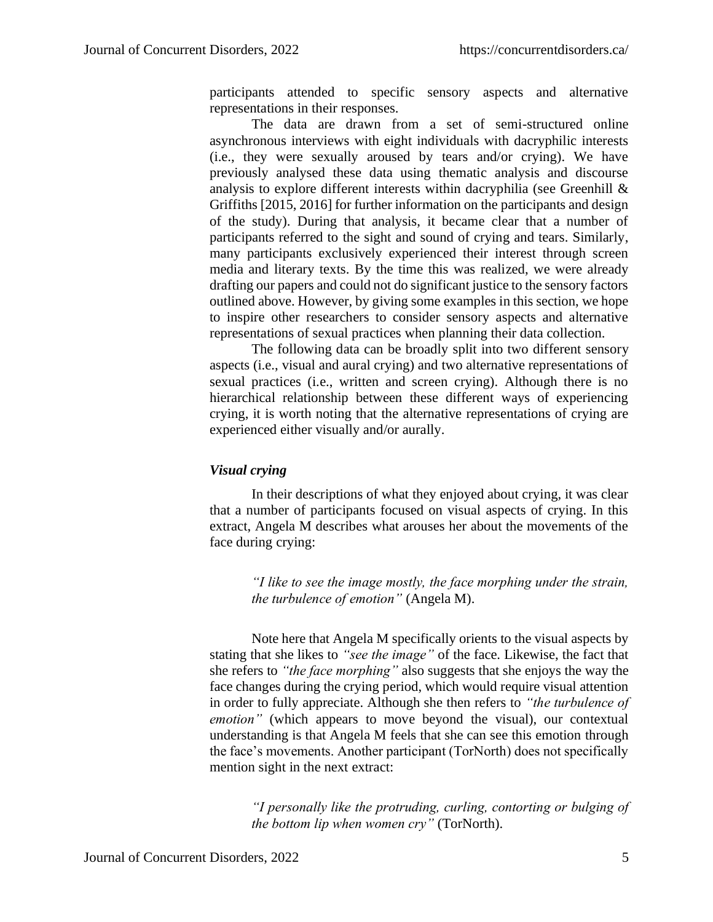participants attended to specific sensory aspects and alternative representations in their responses.

The data are drawn from a set of semi-structured online asynchronous interviews with eight individuals with dacryphilic interests (i.e., they were sexually aroused by tears and/or crying). We have previously analysed these data using thematic analysis and discourse analysis to explore different interests within dacryphilia (see Greenhill  $\&$ Griffiths [2015, 2016] for further information on the participants and design of the study). During that analysis, it became clear that a number of participants referred to the sight and sound of crying and tears. Similarly, many participants exclusively experienced their interest through screen media and literary texts. By the time this was realized, we were already drafting our papers and could not do significant justice to the sensory factors outlined above. However, by giving some examples in this section, we hope to inspire other researchers to consider sensory aspects and alternative representations of sexual practices when planning their data collection.

The following data can be broadly split into two different sensory aspects (i.e., visual and aural crying) and two alternative representations of sexual practices (i.e., written and screen crying). Although there is no hierarchical relationship between these different ways of experiencing crying, it is worth noting that the alternative representations of crying are experienced either visually and/or aurally.

# *Visual crying*

In their descriptions of what they enjoyed about crying, it was clear that a number of participants focused on visual aspects of crying. In this extract, Angela M describes what arouses her about the movements of the face during crying:

> *"I like to see the image mostly, the face morphing under the strain, the turbulence of emotion"* (Angela M).

Note here that Angela M specifically orients to the visual aspects by stating that she likes to *"see the image"* of the face. Likewise, the fact that she refers to *"the face morphing"* also suggests that she enjoys the way the face changes during the crying period, which would require visual attention in order to fully appreciate. Although she then refers to *"the turbulence of emotion"* (which appears to move beyond the visual), our contextual understanding is that Angela M feels that she can see this emotion through the face's movements. Another participant (TorNorth) does not specifically mention sight in the next extract:

*"I personally like the protruding, curling, contorting or bulging of the bottom lip when women cry"* (TorNorth).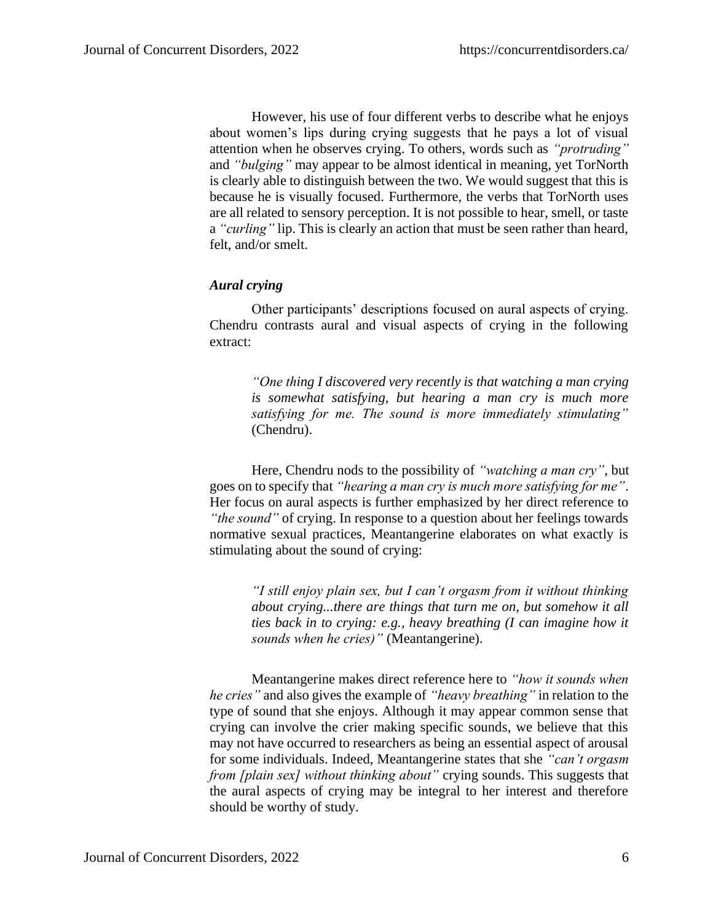However, his use of four different verbs to describe what he enjoys about women's lips during crying suggests that he pays a lot of visual attention when he observes crying. To others, words such as *"protruding"* and *"bulging"* may appear to be almost identical in meaning, yet TorNorth is clearly able to distinguish between the two. We would suggest that this is because he is visually focused. Furthermore, the verbs that TorNorth uses are all related to sensory perception. It is not possible to hear, smell, or taste a *"curling"* lip. This is clearly an action that must be seen rather than heard, felt, and/or smelt.

# *Aural crying*

Other participants' descriptions focused on aural aspects of crying. Chendru contrasts aural and visual aspects of crying in the following extract:

> *"One thing I discovered very recently is that watching a man crying is somewhat satisfying, but hearing a man cry is much more satisfying for me. The sound is more immediately stimulating"* (Chendru).

Here, Chendru nods to the possibility of *"watching a man cry"*, but goes on to specify that *"hearing a man cry is much more satisfying for me"*. Her focus on aural aspects is further emphasized by her direct reference to *"the sound"* of crying. In response to a question about her feelings towards normative sexual practices, Meantangerine elaborates on what exactly is stimulating about the sound of crying:

*"I still enjoy plain sex, but I can't orgasm from it without thinking about crying...there are things that turn me on, but somehow it all ties back in to crying: e.g., heavy breathing (I can imagine how it sounds when he cries)"* (Meantangerine).

Meantangerine makes direct reference here to *"how it sounds when he cries"* and also gives the example of *"heavy breathing"* in relation to the type of sound that she enjoys. Although it may appear common sense that crying can involve the crier making specific sounds, we believe that this may not have occurred to researchers as being an essential aspect of arousal for some individuals. Indeed, Meantangerine states that she *"can't orgasm from [plain sex] without thinking about"* crying sounds. This suggests that the aural aspects of crying may be integral to her interest and therefore should be worthy of study.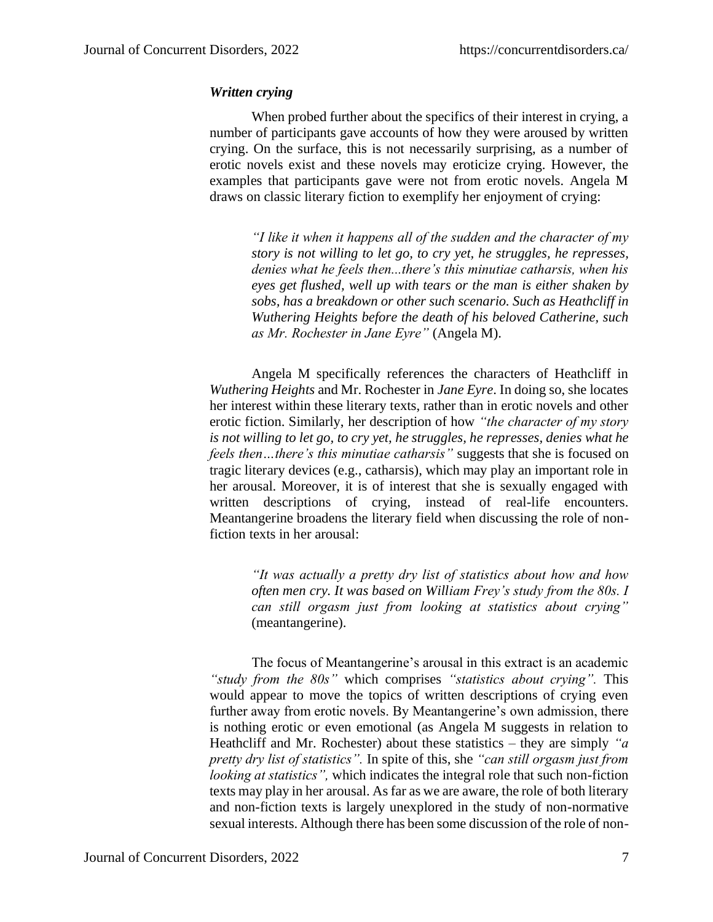# *Written crying*

When probed further about the specifics of their interest in crying, a number of participants gave accounts of how they were aroused by written crying. On the surface, this is not necessarily surprising, as a number of erotic novels exist and these novels may eroticize crying. However, the examples that participants gave were not from erotic novels. Angela M draws on classic literary fiction to exemplify her enjoyment of crying:

*"I like it when it happens all of the sudden and the character of my story is not willing to let go, to cry yet, he struggles, he represses, denies what he feels then...there's this minutiae catharsis, when his eyes get flushed, well up with tears or the man is either shaken by sobs, has a breakdown or other such scenario. Such as Heathcliff in Wuthering Heights before the death of his beloved Catherine, such as Mr. Rochester in Jane Eyre"* (Angela M).

Angela M specifically references the characters of Heathcliff in *Wuthering Heights* and Mr. Rochester in *Jane Eyre*. In doing so, she locates her interest within these literary texts, rather than in erotic novels and other erotic fiction. Similarly, her description of how *"the character of my story is not willing to let go, to cry yet, he struggles, he represses, denies what he feels then…there's this minutiae catharsis"* suggests that she is focused on tragic literary devices (e.g., catharsis), which may play an important role in her arousal. Moreover, it is of interest that she is sexually engaged with written descriptions of crying, instead of real-life encounters. Meantangerine broadens the literary field when discussing the role of nonfiction texts in her arousal:

> *"It was actually a pretty dry list of statistics about how and how often men cry. It was based on William Frey's study from the 80s. I can still orgasm just from looking at statistics about crying"* (meantangerine).

The focus of Meantangerine's arousal in this extract is an academic *"study from the 80s"* which comprises *"statistics about crying".* This would appear to move the topics of written descriptions of crying even further away from erotic novels. By Meantangerine's own admission, there is nothing erotic or even emotional (as Angela M suggests in relation to Heathcliff and Mr. Rochester) about these statistics – they are simply *"a pretty dry list of statistics".* In spite of this, she *"can still orgasm just from looking at statistics",* which indicates the integral role that such non-fiction texts may play in her arousal. As far as we are aware, the role of both literary and non-fiction texts is largely unexplored in the study of non-normative sexual interests. Although there has been some discussion of the role of non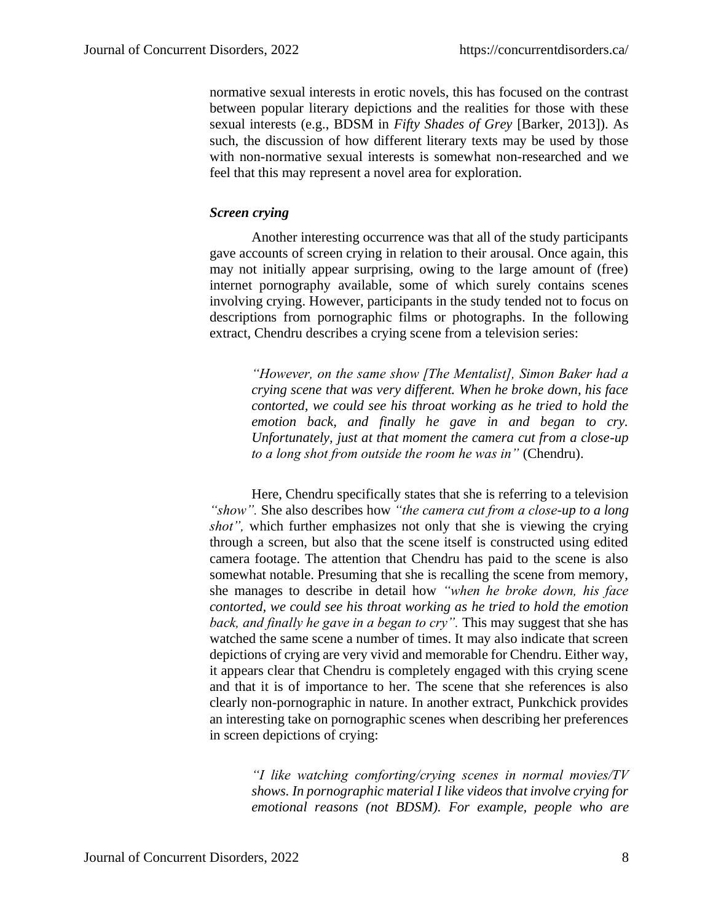normative sexual interests in erotic novels, this has focused on the contrast between popular literary depictions and the realities for those with these sexual interests (e.g., BDSM in *Fifty Shades of Grey* [Barker, 2013]). As such, the discussion of how different literary texts may be used by those with non-normative sexual interests is somewhat non-researched and we feel that this may represent a novel area for exploration.

### *Screen crying*

Another interesting occurrence was that all of the study participants gave accounts of screen crying in relation to their arousal. Once again, this may not initially appear surprising, owing to the large amount of (free) internet pornography available, some of which surely contains scenes involving crying. However, participants in the study tended not to focus on descriptions from pornographic films or photographs. In the following extract, Chendru describes a crying scene from a television series:

> *"However, on the same show [The Mentalist], Simon Baker had a crying scene that was very different. When he broke down, his face contorted, we could see his throat working as he tried to hold the emotion back, and finally he gave in and began to cry. Unfortunately, just at that moment the camera cut from a close-up to a long shot from outside the room he was in"* (Chendru).

Here, Chendru specifically states that she is referring to a television *"show".* She also describes how *"the camera cut from a close-up to a long shot",* which further emphasizes not only that she is viewing the crying through a screen, but also that the scene itself is constructed using edited camera footage. The attention that Chendru has paid to the scene is also somewhat notable. Presuming that she is recalling the scene from memory, she manages to describe in detail how *"when he broke down, his face contorted, we could see his throat working as he tried to hold the emotion back, and finally he gave in a began to cry".* This may suggest that she has watched the same scene a number of times. It may also indicate that screen depictions of crying are very vivid and memorable for Chendru. Either way, it appears clear that Chendru is completely engaged with this crying scene and that it is of importance to her. The scene that she references is also clearly non-pornographic in nature. In another extract, Punkchick provides an interesting take on pornographic scenes when describing her preferences in screen depictions of crying:

*"I like watching comforting/crying scenes in normal movies/TV shows. In pornographic material I like videos that involve crying for emotional reasons (not BDSM). For example, people who are*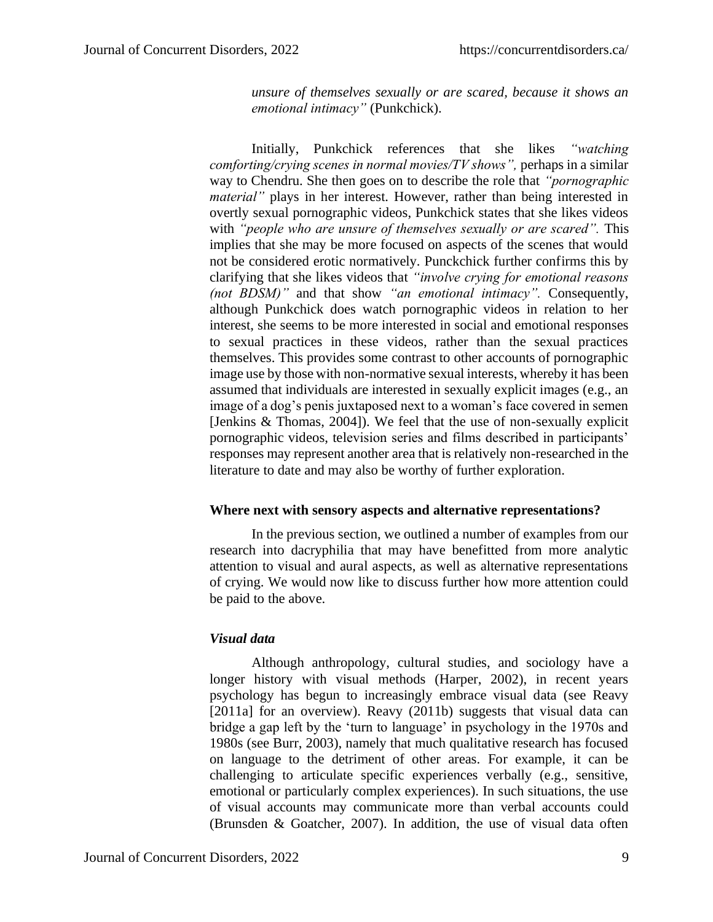*unsure of themselves sexually or are scared, because it shows an emotional intimacy"* (Punkchick).

Initially, Punkchick references that she likes *"watching comforting/crying scenes in normal movies/TV shows"*, perhaps in a similar way to Chendru. She then goes on to describe the role that *"pornographic material*" plays in her interest. However, rather than being interested in overtly sexual pornographic videos, Punkchick states that she likes videos with *"people who are unsure of themselves sexually or are scared"*. This implies that she may be more focused on aspects of the scenes that would not be considered erotic normatively. Punckchick further confirms this by clarifying that she likes videos that *"involve crying for emotional reasons (not BDSM)"* and that show *"an emotional intimacy".* Consequently, although Punkchick does watch pornographic videos in relation to her interest, she seems to be more interested in social and emotional responses to sexual practices in these videos, rather than the sexual practices themselves. This provides some contrast to other accounts of pornographic image use by those with non-normative sexual interests, whereby it has been assumed that individuals are interested in sexually explicit images (e.g., an image of a dog's penis juxtaposed next to a woman's face covered in semen [Jenkins & Thomas, 2004]). We feel that the use of non-sexually explicit pornographic videos, television series and films described in participants' responses may represent another area that is relatively non-researched in the literature to date and may also be worthy of further exploration.

#### **Where next with sensory aspects and alternative representations?**

In the previous section, we outlined a number of examples from our research into dacryphilia that may have benefitted from more analytic attention to visual and aural aspects, as well as alternative representations of crying. We would now like to discuss further how more attention could be paid to the above.

#### *Visual data*

Although anthropology, cultural studies, and sociology have a longer history with visual methods (Harper, 2002), in recent years psychology has begun to increasingly embrace visual data (see Reavy [2011a] for an overview). Reavy (2011b) suggests that visual data can bridge a gap left by the 'turn to language' in psychology in the 1970s and 1980s (see Burr, 2003), namely that much qualitative research has focused on language to the detriment of other areas. For example, it can be challenging to articulate specific experiences verbally (e.g., sensitive, emotional or particularly complex experiences). In such situations, the use of visual accounts may communicate more than verbal accounts could (Brunsden & Goatcher, 2007). In addition, the use of visual data often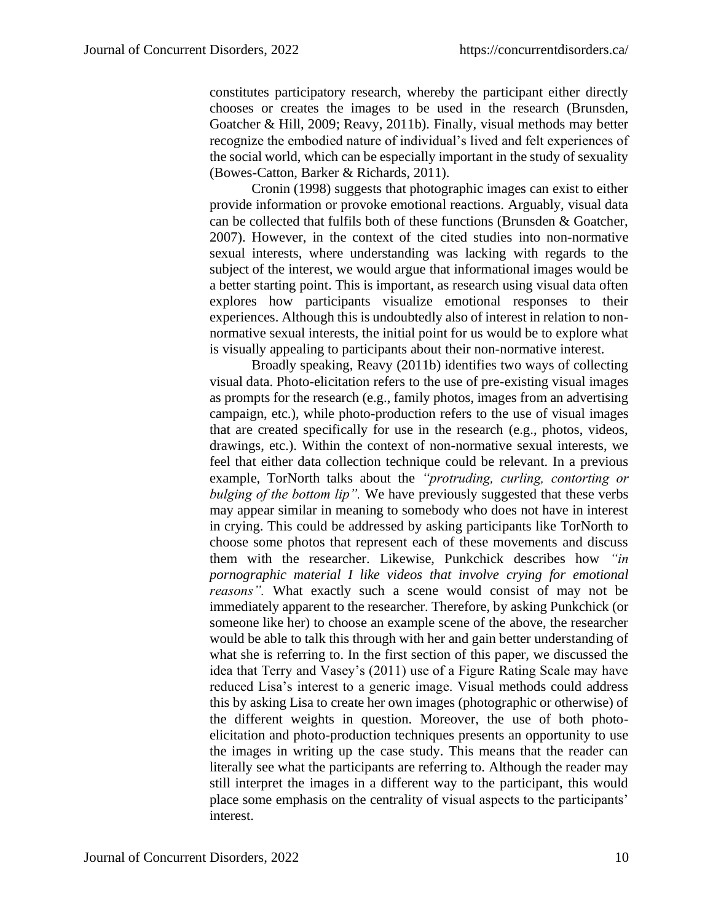constitutes participatory research, whereby the participant either directly chooses or creates the images to be used in the research (Brunsden, Goatcher & Hill, 2009; Reavy, 2011b). Finally, visual methods may better recognize the embodied nature of individual's lived and felt experiences of the social world, which can be especially important in the study of sexuality (Bowes-Catton, Barker & Richards, 2011).

Cronin (1998) suggests that photographic images can exist to either provide information or provoke emotional reactions. Arguably, visual data can be collected that fulfils both of these functions (Brunsden & Goatcher, 2007). However, in the context of the cited studies into non-normative sexual interests, where understanding was lacking with regards to the subject of the interest, we would argue that informational images would be a better starting point. This is important, as research using visual data often explores how participants visualize emotional responses to their experiences. Although this is undoubtedly also of interest in relation to nonnormative sexual interests, the initial point for us would be to explore what is visually appealing to participants about their non-normative interest.

Broadly speaking, Reavy (2011b) identifies two ways of collecting visual data. Photo-elicitation refers to the use of pre-existing visual images as prompts for the research (e.g., family photos, images from an advertising campaign, etc.), while photo-production refers to the use of visual images that are created specifically for use in the research (e.g., photos, videos, drawings, etc.). Within the context of non-normative sexual interests, we feel that either data collection technique could be relevant. In a previous example, TorNorth talks about the *"protruding, curling, contorting or bulging of the bottom lip".* We have previously suggested that these verbs may appear similar in meaning to somebody who does not have in interest in crying. This could be addressed by asking participants like TorNorth to choose some photos that represent each of these movements and discuss them with the researcher. Likewise, Punkchick describes how *"in pornographic material I like videos that involve crying for emotional reasons".* What exactly such a scene would consist of may not be immediately apparent to the researcher. Therefore, by asking Punkchick (or someone like her) to choose an example scene of the above, the researcher would be able to talk this through with her and gain better understanding of what she is referring to. In the first section of this paper, we discussed the idea that Terry and Vasey's (2011) use of a Figure Rating Scale may have reduced Lisa's interest to a generic image. Visual methods could address this by asking Lisa to create her own images (photographic or otherwise) of the different weights in question. Moreover, the use of both photoelicitation and photo-production techniques presents an opportunity to use the images in writing up the case study. This means that the reader can literally see what the participants are referring to. Although the reader may still interpret the images in a different way to the participant, this would place some emphasis on the centrality of visual aspects to the participants' interest.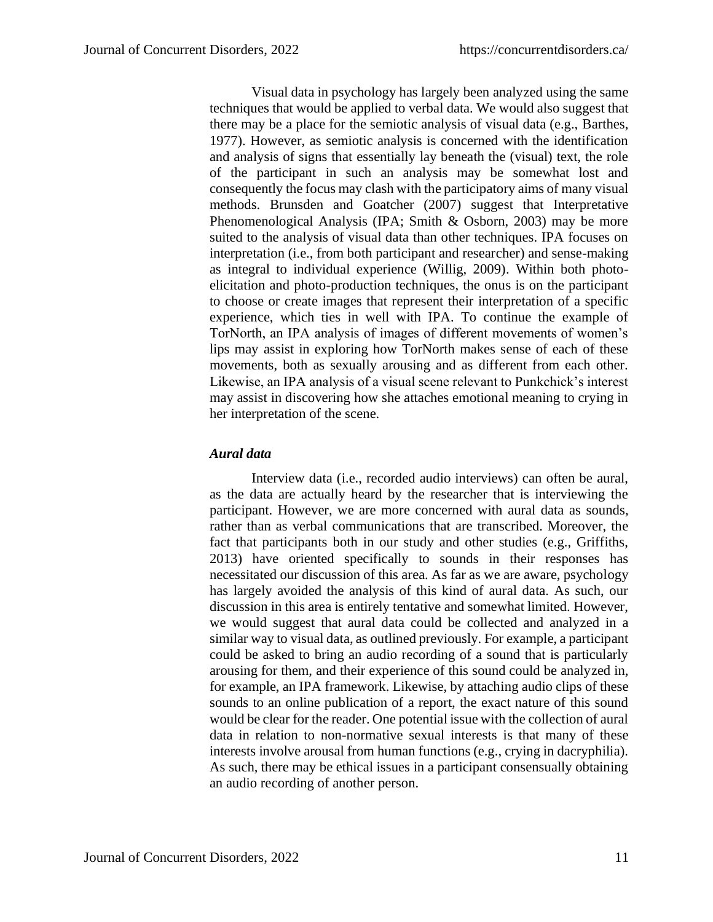Visual data in psychology has largely been analyzed using the same techniques that would be applied to verbal data. We would also suggest that there may be a place for the semiotic analysis of visual data (e.g., Barthes, 1977). However, as semiotic analysis is concerned with the identification and analysis of signs that essentially lay beneath the (visual) text, the role of the participant in such an analysis may be somewhat lost and consequently the focus may clash with the participatory aims of many visual methods. Brunsden and Goatcher (2007) suggest that Interpretative Phenomenological Analysis (IPA; Smith & Osborn, 2003) may be more suited to the analysis of visual data than other techniques. IPA focuses on interpretation (i.e., from both participant and researcher) and sense-making as integral to individual experience (Willig, 2009). Within both photoelicitation and photo-production techniques, the onus is on the participant to choose or create images that represent their interpretation of a specific experience, which ties in well with IPA. To continue the example of TorNorth, an IPA analysis of images of different movements of women's lips may assist in exploring how TorNorth makes sense of each of these movements, both as sexually arousing and as different from each other. Likewise, an IPA analysis of a visual scene relevant to Punkchick's interest may assist in discovering how she attaches emotional meaning to crying in her interpretation of the scene.

# *Aural data*

Interview data (i.e., recorded audio interviews) can often be aural, as the data are actually heard by the researcher that is interviewing the participant. However, we are more concerned with aural data as sounds, rather than as verbal communications that are transcribed. Moreover, the fact that participants both in our study and other studies (e.g., Griffiths, 2013) have oriented specifically to sounds in their responses has necessitated our discussion of this area. As far as we are aware, psychology has largely avoided the analysis of this kind of aural data. As such, our discussion in this area is entirely tentative and somewhat limited. However, we would suggest that aural data could be collected and analyzed in a similar way to visual data, as outlined previously. For example, a participant could be asked to bring an audio recording of a sound that is particularly arousing for them, and their experience of this sound could be analyzed in, for example, an IPA framework. Likewise, by attaching audio clips of these sounds to an online publication of a report, the exact nature of this sound would be clear for the reader. One potential issue with the collection of aural data in relation to non-normative sexual interests is that many of these interests involve arousal from human functions (e.g., crying in dacryphilia). As such, there may be ethical issues in a participant consensually obtaining an audio recording of another person.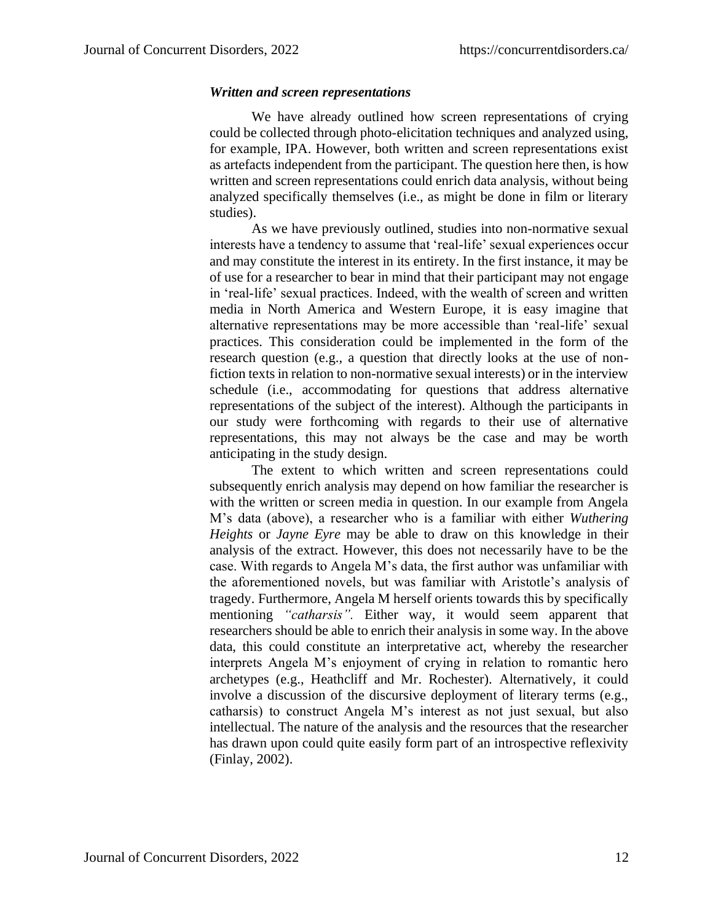## *Written and screen representations*

We have already outlined how screen representations of crying could be collected through photo-elicitation techniques and analyzed using, for example, IPA. However, both written and screen representations exist as artefacts independent from the participant. The question here then, is how written and screen representations could enrich data analysis, without being analyzed specifically themselves (i.e., as might be done in film or literary studies).

As we have previously outlined, studies into non-normative sexual interests have a tendency to assume that 'real-life' sexual experiences occur and may constitute the interest in its entirety. In the first instance, it may be of use for a researcher to bear in mind that their participant may not engage in 'real-life' sexual practices. Indeed, with the wealth of screen and written media in North America and Western Europe, it is easy imagine that alternative representations may be more accessible than 'real-life' sexual practices. This consideration could be implemented in the form of the research question (e.g., a question that directly looks at the use of nonfiction texts in relation to non-normative sexual interests) or in the interview schedule (i.e., accommodating for questions that address alternative representations of the subject of the interest). Although the participants in our study were forthcoming with regards to their use of alternative representations, this may not always be the case and may be worth anticipating in the study design.

The extent to which written and screen representations could subsequently enrich analysis may depend on how familiar the researcher is with the written or screen media in question. In our example from Angela M's data (above), a researcher who is a familiar with either *Wuthering Heights* or *Jayne Eyre* may be able to draw on this knowledge in their analysis of the extract. However, this does not necessarily have to be the case. With regards to Angela M's data, the first author was unfamiliar with the aforementioned novels, but was familiar with Aristotle's analysis of tragedy. Furthermore, Angela M herself orients towards this by specifically mentioning *"catharsis".* Either way, it would seem apparent that researchers should be able to enrich their analysis in some way. In the above data, this could constitute an interpretative act, whereby the researcher interprets Angela M's enjoyment of crying in relation to romantic hero archetypes (e.g., Heathcliff and Mr. Rochester). Alternatively, it could involve a discussion of the discursive deployment of literary terms (e.g., catharsis) to construct Angela M's interest as not just sexual, but also intellectual. The nature of the analysis and the resources that the researcher has drawn upon could quite easily form part of an introspective reflexivity (Finlay, 2002).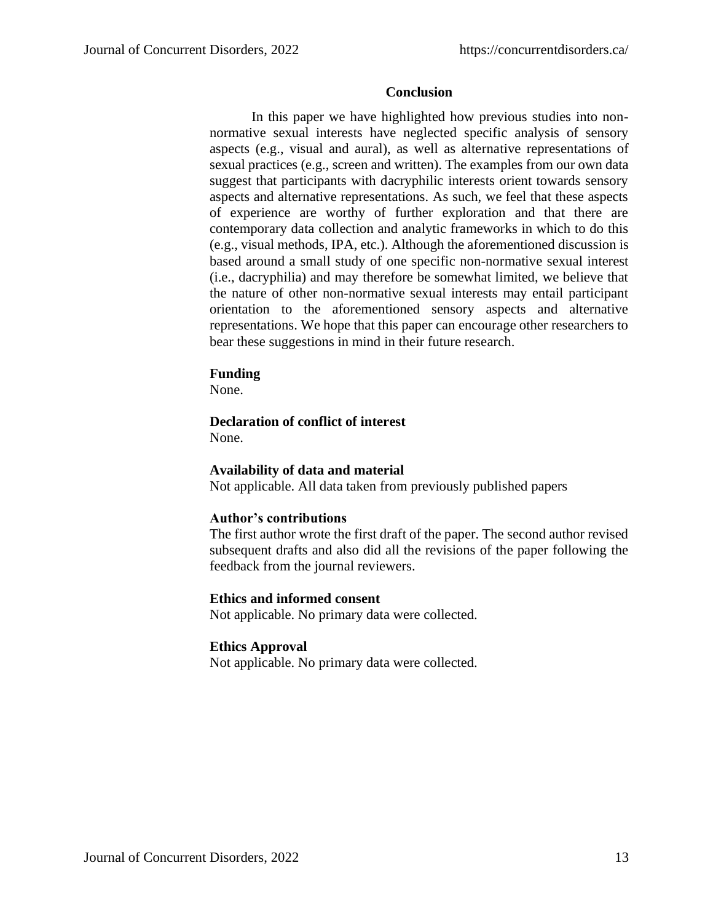# **Conclusion**

In this paper we have highlighted how previous studies into nonnormative sexual interests have neglected specific analysis of sensory aspects (e.g., visual and aural), as well as alternative representations of sexual practices (e.g., screen and written). The examples from our own data suggest that participants with dacryphilic interests orient towards sensory aspects and alternative representations. As such, we feel that these aspects of experience are worthy of further exploration and that there are contemporary data collection and analytic frameworks in which to do this (e.g., visual methods, IPA, etc.). Although the aforementioned discussion is based around a small study of one specific non-normative sexual interest (i.e., dacryphilia) and may therefore be somewhat limited, we believe that the nature of other non-normative sexual interests may entail participant orientation to the aforementioned sensory aspects and alternative representations. We hope that this paper can encourage other researchers to bear these suggestions in mind in their future research.

### **Funding**

None.

# **Declaration of conflict of interest**

None.

# **Availability of data and material**

Not applicable. All data taken from previously published papers

# **Author's contributions**

The first author wrote the first draft of the paper. The second author revised subsequent drafts and also did all the revisions of the paper following the feedback from the journal reviewers.

# **Ethics and informed consent**

Not applicable. No primary data were collected.

# **Ethics Approval**

Not applicable. No primary data were collected.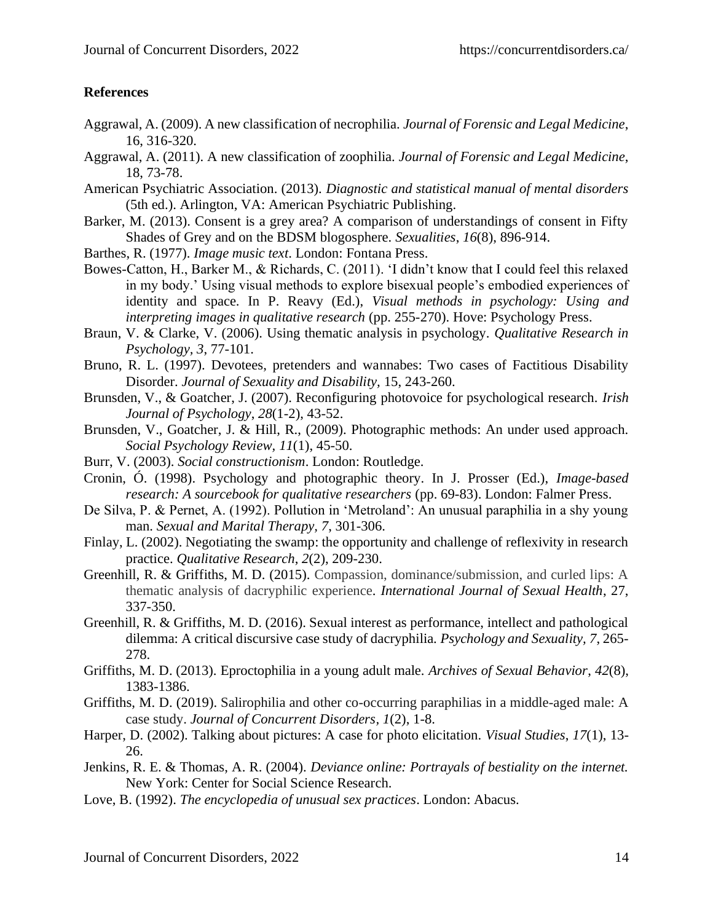# **References**

- Aggrawal, A. (2009). A new classification of necrophilia. *Journal of Forensic and Legal Medicine*, 16, 316-320.
- Aggrawal, A. (2011). A new classification of zoophilia. *Journal of Forensic and Legal Medicine*, 18, 73-78.
- American Psychiatric Association. (2013). *Diagnostic and statistical manual of mental disorders* (5th ed.). Arlington, VA: American Psychiatric Publishing.
- Barker, M. (2013). Consent is a grey area? A comparison of understandings of consent in Fifty Shades of Grey and on the BDSM blogosphere. *Sexualities*, *16*(8), 896-914.
- Barthes, R. (1977). *Image music text*. London: Fontana Press.
- Bowes-Catton, H., Barker M., & Richards, C. (2011). 'I didn't know that I could feel this relaxed in my body.' Using visual methods to explore bisexual people's embodied experiences of identity and space. In P. Reavy (Ed.), *Visual methods in psychology: Using and interpreting images in qualitative research* (pp. 255-270). Hove: Psychology Press.
- Braun, V. & Clarke, V. (2006). Using thematic analysis in psychology. *Qualitative Research in Psychology, 3*, 77-101.
- Bruno, R. L. (1997). Devotees, pretenders and wannabes: Two cases of Factitious Disability Disorder. *Journal of Sexuality and Disability,* 15, 243-260.
- Brunsden, V., & Goatcher, J. (2007). Reconfiguring photovoice for psychological research. *Irish Journal of Psychology*, *28*(1-2), 43-52.
- Brunsden, V., Goatcher, J. & Hill, R., (2009). Photographic methods: An under used approach. *Social Psychology Review, 11*(1), 45-50.
- Burr, V. (2003). *Social constructionism*. London: Routledge.
- Cronin, Ó. (1998). Psychology and photographic theory. In J. Prosser (Ed.), *Image-based research: A sourcebook for qualitative researchers* (pp. 69-83). London: Falmer Press.
- De Silva, P. & Pernet, A. (1992). Pollution in 'Metroland': An unusual paraphilia in a shy young man. *Sexual and Marital Therapy, 7*, 301-306.
- Finlay, L. (2002). Negotiating the swamp: the opportunity and challenge of reflexivity in research practice. *Qualitative Research*, *2*(2), 209-230.
- Greenhill, R. & Griffiths, M. D. (2015). Compassion, dominance/submission, and curled lips: A thematic analysis of dacryphilic experience. *International Journal of Sexual Health*, 27, 337-350.
- Greenhill, R. & Griffiths, M. D. (2016). Sexual interest as performance, intellect and pathological dilemma: A critical discursive case study of dacryphilia. *Psychology and Sexuality, 7*, 265- 278.
- Griffiths, M. D. (2013). Eproctophilia in a young adult male. *Archives of Sexual Behavior*, *42*(8), 1383-1386.
- Griffiths, M. D. (2019). Salirophilia and other co-occurring paraphilias in a middle-aged male: A case study. *Journal of Concurrent Disorders, 1*(2), 1-8.
- Harper, D. (2002). Talking about pictures: A case for photo elicitation. *Visual Studies*, *17*(1), 13- 26.
- Jenkins, R. E. & Thomas, A. R. (2004). *Deviance online: Portrayals of bestiality on the internet.* New York: Center for Social Science Research.
- Love, B. (1992). *The encyclopedia of unusual sex practices*. London: Abacus.